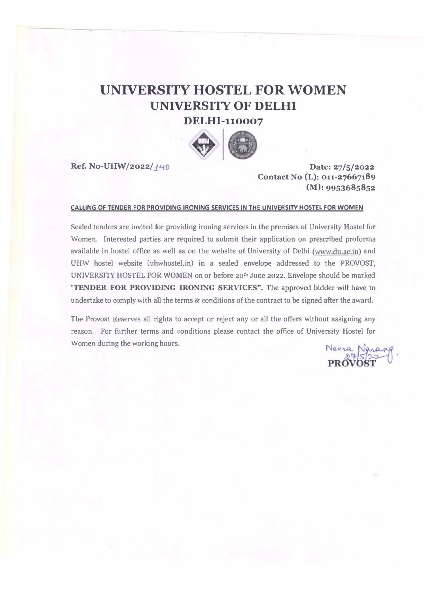## UNIVERSITY HOSTEL FOR WOMEN UNIVERSITY OF DELHI DELHI-110007



Ref. No-UHW/2022/140 Date: 27/5/2022

Contact No (L): 011-27667189 (M): 9953685852

#### CAlUNG OF TENDER FOR PR0V10ING IRONING SERVICES IN THE UNIVERSITY HOSTEL FOR WOMEN

Sealed tenders are invited for providing ironing services in the premises of University Hostel for Women. Interested parties are required to submit their application on prescribed proforma available in hostel office as well as on the website of University of Delhi (www.du.ac.in) and UHW hostel website (uhwhostel.in) in a sealed envelope addressed to the PROVOST, UNIVERSITY HOSTEL FOR WOMEN on or before 20<sup>th</sup> June 2022. Envelope should be marked 'TENDER FOR PROVIDING IRONING SERVICES". The approved bidder will have to undertake to comply with all the terms & conditions of the contract to be signed after the award.

The Provost Reserves all rights to accept or reject any or all the offers without assigning any reason. For further terms and conditions please contact the office of University Hostel for Women during the working hours.

Neera Naran<br>PROVOST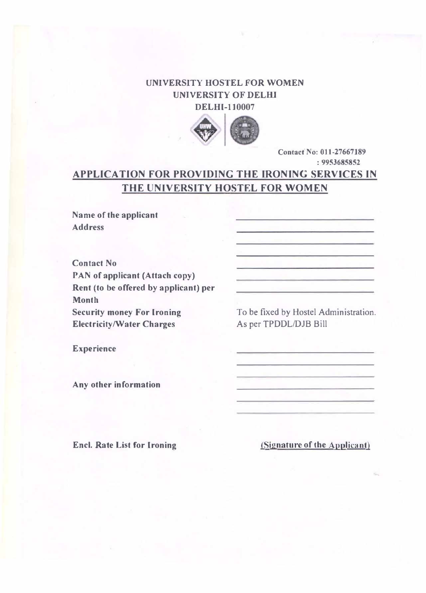### UNIVERSITY HOSTEL FOR WOMEN UN1VERSITY OF DELHI DELHI-I 10007



Contact No: 011-27667189 : 9953685852

### APPLICA TION FOR PROVIDING THE IRONING SERVICES IN THE UNIVERSITY HOSTEL FOR WOMEN

Name of the applicant Address

Contact No PAN of applicant (Attach copy) Rent (to be offercd by applicant) per Month Security money For Ironing **Electricity/Water Charges** 

To be fixed by Hostel Administration. As per TPDDL/DJB Bill

Experience

Any other information

Enel. Rate List for Ironing

(Signature of the Applicant)